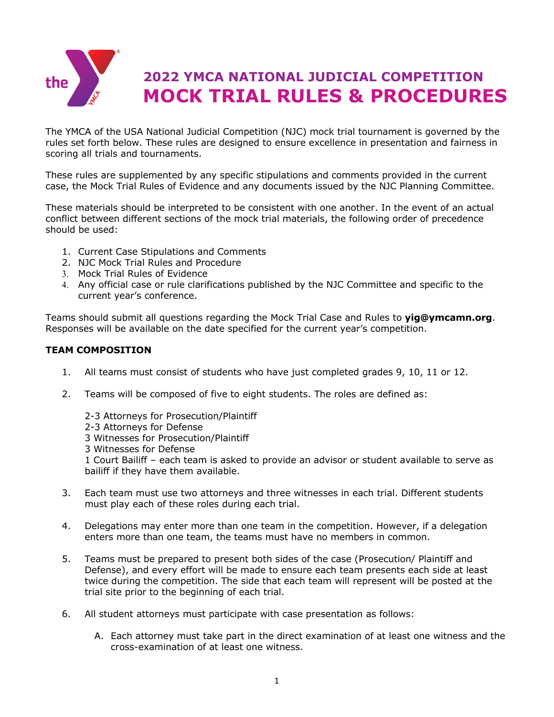

The YMCA of the USA National Judicial Competition (NJC) mock trial tournament is governed by the rules set forth below. These rules are designed to ensure excellence in presentation and fairness in scoring all trials and tournaments.

These rules are supplemented by any specific stipulations and comments provided in the current case, the Mock Trial Rules of Evidence and any documents issued by the NJC Planning Committee.

These materials should be interpreted to be consistent with one another. In the event of an actual conflict between different sections of the mock trial materials, the following order of precedence should be used:

- 1. Current Case Stipulations and Comments
- 2. NJC Mock Trial Rules and Procedure
- 3. Mock Trial Rules of Evidence
- 4. Any official case or rule clarifications published by the NJC Committee and specific to the current year's conference.

Teams should submit all questions regarding the Mock Trial Case and Rules to **yig@ymcamn.org**. Responses will be available on the date specified for the current year's competition.

# **TEAM COMPOSITION**

- 1. All teams must consist of students who have just completed grades 9, 10, 11 or 12.
- 2. Teams will be composed of five to eight students. The roles are defined as:

2-3 Attorneys for Prosecution/Plaintiff

- 2-3 Attorneys for Defense
- 3 Witnesses for Prosecution/Plaintiff
- 3 Witnesses for Defense

1 Court Bailiff – each team is asked to provide an advisor or student available to serve as bailiff if they have them available.

- 3. Each team must use two attorneys and three witnesses in each trial. Different students must play each of these roles during each trial.
- 4. Delegations may enter more than one team in the competition. However, if a delegation enters more than one team, the teams must have no members in common.
- 5. Teams must be prepared to present both sides of the case (Prosecution/ Plaintiff and Defense), and every effort will be made to ensure each team presents each side at least twice during the competition. The side that each team will represent will be posted at the trial site prior to the beginning of each trial.
- 6. All student attorneys must participate with case presentation as follows:
	- A. Each attorney must take part in the direct examination of at least one witness and the cross-examination of at least one witness.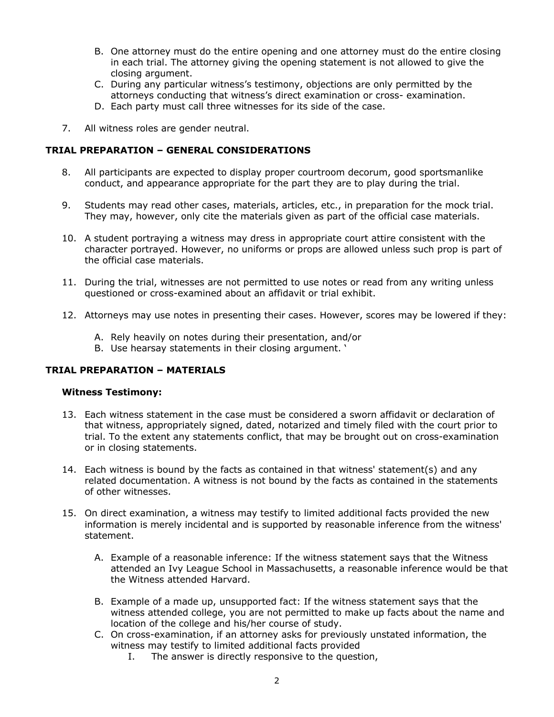- B. One attorney must do the entire opening and one attorney must do the entire closing in each trial. The attorney giving the opening statement is not allowed to give the closing argument.
- C. During any particular witness's testimony, objections are only permitted by the attorneys conducting that witness's direct examination or cross- examination.
- D. Each party must call three witnesses for its side of the case.
- 7. All witness roles are gender neutral.

# **TRIAL PREPARATION – GENERAL CONSIDERATIONS**

- 8. All participants are expected to display proper courtroom decorum, good sportsmanlike conduct, and appearance appropriate for the part they are to play during the trial.
- 9. Students may read other cases, materials, articles, etc., in preparation for the mock trial. They may, however, only cite the materials given as part of the official case materials.
- 10. A student portraying a witness may dress in appropriate court attire consistent with the character portrayed. However, no uniforms or props are allowed unless such prop is part of the official case materials.
- 11. During the trial, witnesses are not permitted to use notes or read from any writing unless questioned or cross-examined about an affidavit or trial exhibit.
- 12. Attorneys may use notes in presenting their cases. However, scores may be lowered if they:
	- A. Rely heavily on notes during their presentation, and/or
	- B. Use hearsay statements in their closing argument. '

# **TRIAL PREPARATION – MATERIALS**

### **Witness Testimony:**

- 13. Each witness statement in the case must be considered a sworn affidavit or declaration of that witness, appropriately signed, dated, notarized and timely filed with the court prior to trial. To the extent any statements conflict, that may be brought out on cross-examination or in closing statements.
- 14. Each witness is bound by the facts as contained in that witness' statement(s) and any related documentation. A witness is not bound by the facts as contained in the statements of other witnesses.
- 15. On direct examination, a witness may testify to limited additional facts provided the new information is merely incidental and is supported by reasonable inference from the witness' statement.
	- A. Example of a reasonable inference: If the witness statement says that the Witness attended an Ivy League School in Massachusetts, a reasonable inference would be that the Witness attended Harvard.
	- B. Example of a made up, unsupported fact: If the witness statement says that the witness attended college, you are not permitted to make up facts about the name and location of the college and his/her course of study.
	- C. On cross-examination, if an attorney asks for previously unstated information, the witness may testify to limited additional facts provided
		- I. The answer is directly responsive to the question,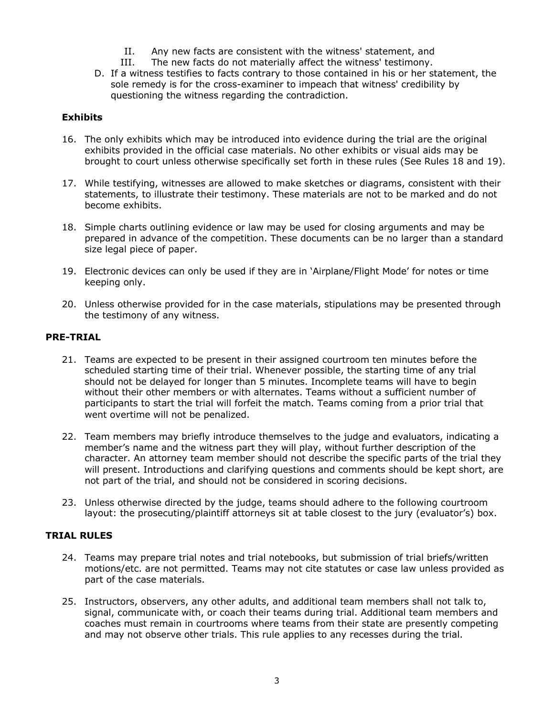- II. Any new facts are consistent with the witness' statement, and
- III. The new facts do not materially affect the witness' testimony.
- D. If a witness testifies to facts contrary to those contained in his or her statement, the sole remedy is for the cross-examiner to impeach that witness' credibility by questioning the witness regarding the contradiction.

### **Exhibits**

- 16. The only exhibits which may be introduced into evidence during the trial are the original exhibits provided in the official case materials. No other exhibits or visual aids may be brought to court unless otherwise specifically set forth in these rules (See Rules 18 and 19).
- 17. While testifying, witnesses are allowed to make sketches or diagrams, consistent with their statements, to illustrate their testimony. These materials are not to be marked and do not become exhibits.
- 18. Simple charts outlining evidence or law may be used for closing arguments and may be prepared in advance of the competition. These documents can be no larger than a standard size legal piece of paper.
- 19. Electronic devices can only be used if they are in 'Airplane/Flight Mode' for notes or time keeping only.
- 20. Unless otherwise provided for in the case materials, stipulations may be presented through the testimony of any witness.

### **PRE-TRIAL**

- 21. Teams are expected to be present in their assigned courtroom ten minutes before the scheduled starting time of their trial. Whenever possible, the starting time of any trial should not be delayed for longer than 5 minutes. Incomplete teams will have to begin without their other members or with alternates. Teams without a sufficient number of participants to start the trial will forfeit the match. Teams coming from a prior trial that went overtime will not be penalized.
- 22. Team members may briefly introduce themselves to the judge and evaluators, indicating a member's name and the witness part they will play, without further description of the character. An attorney team member should not describe the specific parts of the trial they will present. Introductions and clarifying questions and comments should be kept short, are not part of the trial, and should not be considered in scoring decisions.
- 23. Unless otherwise directed by the judge, teams should adhere to the following courtroom layout: the prosecuting/plaintiff attorneys sit at table closest to the jury (evaluator's) box.

### **TRIAL RULES**

- 24. Teams may prepare trial notes and trial notebooks, but submission of trial briefs/written motions/etc. are not permitted. Teams may not cite statutes or case law unless provided as part of the case materials.
- 25. Instructors, observers, any other adults, and additional team members shall not talk to, signal, communicate with, or coach their teams during trial. Additional team members and coaches must remain in courtrooms where teams from their state are presently competing and may not observe other trials. This rule applies to any recesses during the trial.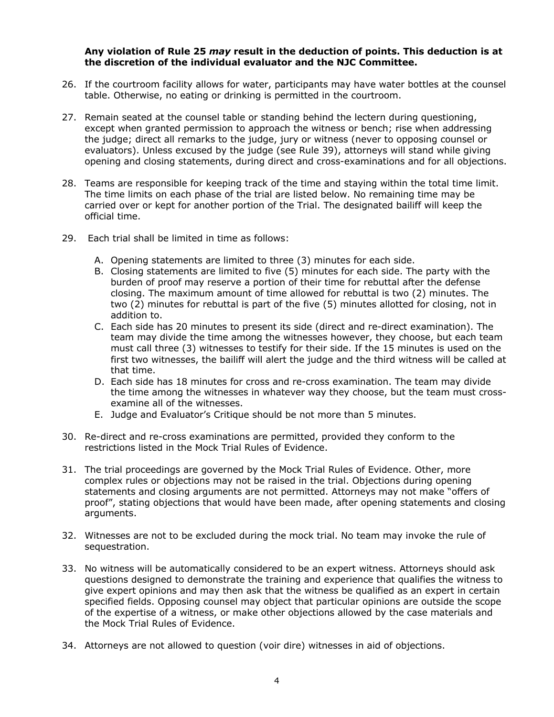#### **Any violation of Rule 25** *may* **result in the deduction of points. This deduction is at the discretion of the individual evaluator and the NJC Committee.**

- 26. If the courtroom facility allows for water, participants may have water bottles at the counsel table. Otherwise, no eating or drinking is permitted in the courtroom.
- 27. Remain seated at the counsel table or standing behind the lectern during questioning, except when granted permission to approach the witness or bench; rise when addressing the judge; direct all remarks to the judge, jury or witness (never to opposing counsel or evaluators). Unless excused by the judge (see Rule 39), attorneys will stand while giving opening and closing statements, during direct and cross-examinations and for all objections.
- 28. Teams are responsible for keeping track of the time and staying within the total time limit. The time limits on each phase of the trial are listed below. No remaining time may be carried over or kept for another portion of the Trial. The designated bailiff will keep the official time.
- 29. Each trial shall be limited in time as follows:
	- A. Opening statements are limited to three (3) minutes for each side.
	- B. Closing statements are limited to five (5) minutes for each side. The party with the burden of proof may reserve a portion of their time for rebuttal after the defense closing. The maximum amount of time allowed for rebuttal is two (2) minutes. The two (2) minutes for rebuttal is part of the five (5) minutes allotted for closing, not in addition to.
	- C. Each side has 20 minutes to present its side (direct and re-direct examination). The team may divide the time among the witnesses however, they choose, but each team must call three (3) witnesses to testify for their side. If the 15 minutes is used on the first two witnesses, the bailiff will alert the judge and the third witness will be called at that time.
	- D. Each side has 18 minutes for cross and re-cross examination. The team may divide the time among the witnesses in whatever way they choose, but the team must crossexamine all of the witnesses.
	- E. Judge and Evaluator's Critique should be not more than 5 minutes.
- 30. Re-direct and re-cross examinations are permitted, provided they conform to the restrictions listed in the Mock Trial Rules of Evidence.
- 31. The trial proceedings are governed by the Mock Trial Rules of Evidence. Other, more complex rules or objections may not be raised in the trial. Objections during opening statements and closing arguments are not permitted. Attorneys may not make "offers of proof", stating objections that would have been made, after opening statements and closing arguments.
- 32. Witnesses are not to be excluded during the mock trial. No team may invoke the rule of sequestration.
- 33. No witness will be automatically considered to be an expert witness. Attorneys should ask questions designed to demonstrate the training and experience that qualifies the witness to give expert opinions and may then ask that the witness be qualified as an expert in certain specified fields. Opposing counsel may object that particular opinions are outside the scope of the expertise of a witness, or make other objections allowed by the case materials and the Mock Trial Rules of Evidence.
- 34. Attorneys are not allowed to question (voir dire) witnesses in aid of objections.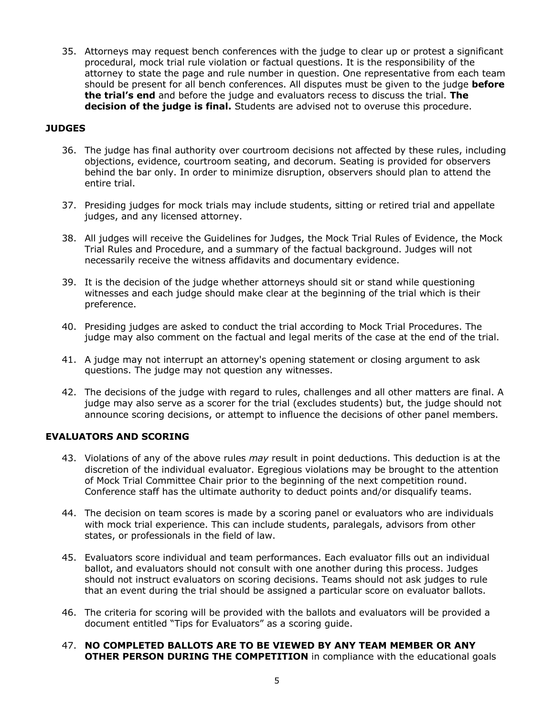35. Attorneys may request bench conferences with the judge to clear up or protest a significant procedural, mock trial rule violation or factual questions. It is the responsibility of the attorney to state the page and rule number in question. One representative from each team should be present for all bench conferences. All disputes must be given to the judge **before the trial's end** and before the judge and evaluators recess to discuss the trial. **The decision of the judge is final.** Students are advised not to overuse this procedure.

### **JUDGES**

- 36. The judge has final authority over courtroom decisions not affected by these rules, including objections, evidence, courtroom seating, and decorum. Seating is provided for observers behind the bar only. In order to minimize disruption, observers should plan to attend the entire trial.
- 37. Presiding judges for mock trials may include students, sitting or retired trial and appellate judges, and any licensed attorney.
- 38. All judges will receive the Guidelines for Judges, the Mock Trial Rules of Evidence, the Mock Trial Rules and Procedure, and a summary of the factual background. Judges will not necessarily receive the witness affidavits and documentary evidence.
- 39. It is the decision of the judge whether attorneys should sit or stand while questioning witnesses and each judge should make clear at the beginning of the trial which is their preference.
- 40. Presiding judges are asked to conduct the trial according to Mock Trial Procedures. The judge may also comment on the factual and legal merits of the case at the end of the trial.
- 41. A judge may not interrupt an attorney's opening statement or closing argument to ask questions. The judge may not question any witnesses.
- 42. The decisions of the judge with regard to rules, challenges and all other matters are final. A judge may also serve as a scorer for the trial (excludes students) but, the judge should not announce scoring decisions, or attempt to influence the decisions of other panel members.

### **EVALUATORS AND SCORING**

- 43. Violations of any of the above rules *may* result in point deductions. This deduction is at the discretion of the individual evaluator. Egregious violations may be brought to the attention of Mock Trial Committee Chair prior to the beginning of the next competition round. Conference staff has the ultimate authority to deduct points and/or disqualify teams.
- 44. The decision on team scores is made by a scoring panel or evaluators who are individuals with mock trial experience. This can include students, paralegals, advisors from other states, or professionals in the field of law.
- 45. Evaluators score individual and team performances. Each evaluator fills out an individual ballot, and evaluators should not consult with one another during this process. Judges should not instruct evaluators on scoring decisions. Teams should not ask judges to rule that an event during the trial should be assigned a particular score on evaluator ballots.
- 46. The criteria for scoring will be provided with the ballots and evaluators will be provided a document entitled "Tips for Evaluators" as a scoring guide.

### 47. **NO COMPLETED BALLOTS ARE TO BE VIEWED BY ANY TEAM MEMBER OR ANY OTHER PERSON DURING THE COMPETITION** in compliance with the educational goals